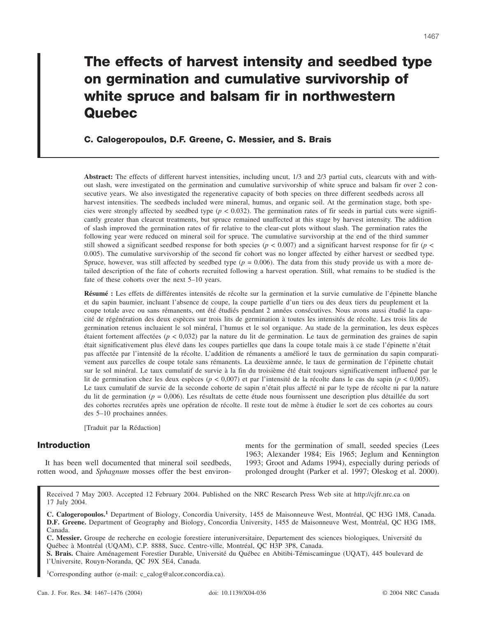# **The effects of harvest intensity and seedbed type on germination and cumulative survivorship of white spruce and balsam fir in northwestern Quebec**

**C. Calogeropoulos, D.F. Greene, C. Messier, and S. Brais**

**Abstract:** The effects of different harvest intensities, including uncut, 1/3 and 2/3 partial cuts, clearcuts with and without slash, were investigated on the germination and cumulative survivorship of white spruce and balsam fir over 2 consecutive years. We also investigated the regenerative capacity of both species on three different seedbeds across all harvest intensities. The seedbeds included were mineral, humus, and organic soil. At the germination stage, both species were strongly affected by seedbed type  $(p < 0.032)$ . The germination rates of fir seeds in partial cuts were significantly greater than clearcut treatments, but spruce remained unaffected at this stage by harvest intensity. The addition of slash improved the germination rates of fir relative to the clear-cut plots without slash. The germination rates the following year were reduced on mineral soil for spruce. The cumulative survivorship at the end of the third summer still showed a significant seedbed response for both species ( $p < 0.007$ ) and a significant harvest response for fir ( $p <$ 0.005). The cumulative survivorship of the second fir cohort was no longer affected by either harvest or seedbed type. Spruce, however, was still affected by seedbed type  $(p = 0.006)$ . The data from this study provide us with a more detailed description of the fate of cohorts recruited following a harvest operation. Still, what remains to be studied is the fate of these cohorts over the next 5–10 years.

**Résumé :** Les effets de différentes intensités de récolte sur la germination et la survie cumulative de l'épinette blanche et du sapin baumier, incluant l'absence de coupe, la coupe partielle d'un tiers ou des deux tiers du peuplement et la coupe totale avec ou sans rémanents, ont été étudiés pendant 2 années consécutives. Nous avons aussi étudié la capacité de régénération des deux espèces sur trois lits de germination à toutes les intensités de récolte. Les trois lits de germination retenus incluaient le sol minéral, l'humus et le sol organique. Au stade de la germination, les deux espèces étaient fortement affectées (*p* < 0,032) par la nature du lit de germination. Le taux de germination des graines de sapin était significativement plus élevé dans les coupes partielles que dans la coupe totale mais à ce stade l'épinette n'était pas affectée par l'intensité de la récolte. L'addition de rémanents a amélioré le taux de germination du sapin comparativement aux parcelles de coupe totale sans rémanents. La deuxième année, le taux de germination de l'épinette chutait sur le sol minéral. Le taux cumulatif de survie à la fin du troisième été était toujours significativement influencé par le lit de germination chez les deux espèces (*p* < 0,007) et par l'intensité de la récolte dans le cas du sapin (*p* < 0,005). Le taux cumulatif de survie de la seconde cohorte de sapin n'était plus affecté ni par le type de récolte ni par la nature du lit de germination (*p* = 0,006). Les résultats de cette étude nous fournissent une description plus détaillée du sort des cohortes recrutées après une opération de récolte. Il reste tout de même à étudier le sort de ces cohortes au cours des 5–10 prochaines années.

[Traduit par la Rédaction]

# **Introduction**

It has been well documented that mineral soil seedbeds, rotten wood, and *Sphagnum* mosses offer the best environments for the germination of small, seeded species (Lees 1963; Alexander 1984; Eis 1965; Jeglum and Kennington 1993; Groot and Adams 1994), especially during periods of prolonged drought (Parker et al. 1997; Oleskog et al. 2000).

Received 7 May 2003. Accepted 12 February 2004. Published on the NRC Research Press Web site at http://cjfr.nrc.ca on 17 July 2004.

**C. Calogeropoulos.<sup>1</sup>** Department of Biology, Concordia University, 1455 de Maisonneuve West, Montréal, QC H3G 1M8, Canada. **D.F. Greene.** Department of Geography and Biology, Concordia University, 1455 de Maisonneuve West, Montréal, QC H3G 1M8, Canada.

**C. Messier.** Groupe de recherche en ecologie forestiere interuniversitaire, Departement des sciences biologiques, Université du Québec à Montréal (UQAM), C.P. 8888, Succ. Centre-ville, Montréal, QC H3P 3P8, Canada.

**S. Brais.** Chaire Aménagement Forestier Durable, Université du Québec en Abitibi-Témiscamingue (UQAT), 445 boulevard de l'Universite, Rouyn-Noranda, QC J9X 5E4, Canada.

1 Corresponding author (e-mail: c\_calog@alcor.concordia.ca).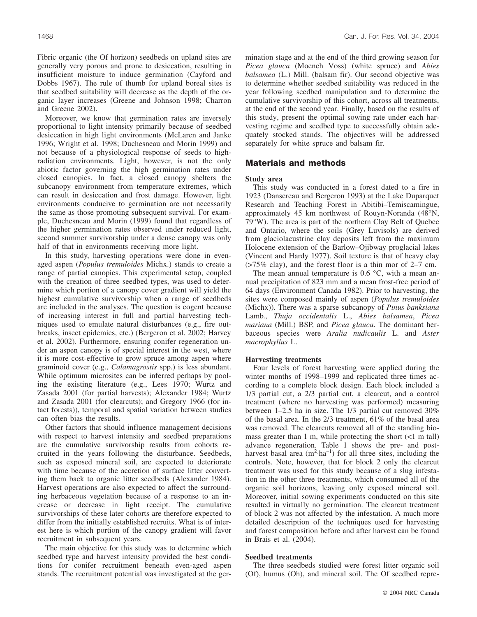Fibric organic (the Of horizon) seedbeds on upland sites are generally very porous and prone to desiccation, resulting in insufficient moisture to induce germination (Cayford and Dobbs 1967). The rule of thumb for upland boreal sites is that seedbed suitability will decrease as the depth of the organic layer increases (Greene and Johnson 1998; Charron and Greene 2002).

Moreover, we know that germination rates are inversely proportional to light intensity primarily because of seedbed desiccation in high light environments (McLaren and Janke 1996; Wright et al. 1998; Duchesneau and Morin 1999) and not because of a physiological response of seeds to highradiation environments. Light, however, is not the only abiotic factor governing the high germination rates under closed canopies. In fact, a closed canopy shelters the subcanopy environment from temperature extremes, which can result in desiccation and frost damage. However, light environments conducive to germination are not necessarily the same as those promoting subsequent survival. For example, Duchesneau and Morin (1999) found that regardless of the higher germination rates observed under reduced light, second summer survivorship under a dense canopy was only half of that in environments receiving more light.

In this study, harvesting operations were done in evenaged aspen (*Populus tremuloides* Michx.) stands to create a range of partial canopies. This experimental setup, coupled with the creation of three seedbed types, was used to determine which portion of a canopy cover gradient will yield the highest cumulative survivorship when a range of seedbeds are included in the analyses. The question is cogent because of increasing interest in full and partial harvesting techniques used to emulate natural disturbances (e.g., fire outbreaks, insect epidemics, etc.) (Bergeron et al. 2002; Harvey et al. 2002). Furthermore, ensuring conifer regeneration under an aspen canopy is of special interest in the west, where it is more cost-effective to grow spruce among aspen where graminoid cover (e.g., *Calamagrostis* spp.) is less abundant. While optimum microsites can be inferred perhaps by pooling the existing literature (e.g., Lees 1970; Wurtz and Zasada 2001 (for partial harvests); Alexander 1984; Wurtz and Zasada 2001 (for clearcuts); and Gregory 1966 (for intact forests)), temporal and spatial variation between studies can often bias the results.

Other factors that should influence management decisions with respect to harvest intensity and seedbed preparations are the cumulative survivorship results from cohorts recruited in the years following the disturbance. Seedbeds, such as exposed mineral soil, are expected to deteriorate with time because of the accretion of surface litter converting them back to organic litter seedbeds (Alexander 1984). Harvest operations are also expected to affect the surrounding herbaceous vegetation because of a response to an increase or decrease in light receipt. The cumulative survivorships of these later cohorts are therefore expected to differ from the initially established recruits. What is of interest here is which portion of the canopy gradient will favor recruitment in subsequent years.

The main objective for this study was to determine which seedbed type and harvest intensity provided the best conditions for conifer recruitment beneath even-aged aspen stands. The recruitment potential was investigated at the germination stage and at the end of the third growing season for *Picea glauca* (Moench Voss) (white spruce) and *Abies balsamea* (L.) Mill. (balsam fir). Our second objective was to determine whether seedbed suitability was reduced in the year following seedbed manipulation and to determine the cumulative survivorship of this cohort, across all treatments, at the end of the second year. Finally, based on the results of this study, present the optimal sowing rate under each harvesting regime and seedbed type to successfully obtain adequately stocked stands. The objectives will be addressed separately for white spruce and balsam fir.

# **Materials and methods**

# **Study area**

This study was conducted in a forest dated to a fire in 1923 (Dansereau and Bergeron 1993) at the Lake Duparquet Research and Teaching Forest in Abitibi–Temiscamingue, approximately 45 km northwest of Rouyn-Noranda (48°N, 79°W). The area is part of the northern Clay Belt of Quebec and Ontario, where the soils (Grey Luvisols) are derived from glaciolacustrine clay deposits left from the maximum Holocene extension of the Barlow–Ojibway proglacial lakes (Vincent and Hardy 1977). Soil texture is that of heavy clay (>75% clay), and the forest floor is a thin mor of 2–7 cm.

The mean annual temperature is  $0.6 \degree C$ , with a mean annual precipitation of 823 mm and a mean frost-free period of 64 days (Environment Canada 1982). Prior to harvesting, the sites were composed mainly of aspen (*Populus tremuloides* (Michx)). There was a sparse subcanopy of *Pinus banksiana* Lamb., *Thuja occidentalis* L., *Abies balsamea*, *Picea mariana* (Mill.) BSP, and *Picea glauca*. The dominant herbaceous species were *Aralia nudicaulis* L. and *Aster macrophyllus* L.

# **Harvesting treatments**

Four levels of forest harvesting were applied during the winter months of 1998–1999 and replicated three times according to a complete block design. Each block included a 1/3 partial cut, a 2/3 partial cut, a clearcut, and a control treatment (where no harvesting was performed) measuring between 1–2.5 ha in size. The 1/3 partial cut removed 30% of the basal area. In the 2/3 treatment, 61% of the basal area was removed. The clearcuts removed all of the standing biomass greater than 1 m, while protecting the short (<1 m tall) advance regeneration. Table 1 shows the pre- and postharvest basal area  $(m^2 \cdot ha^{-1})$  for all three sites, including the controls. Note, however, that for block 2 only the clearcut treatment was used for this study because of a slug infestation in the other three treatments, which consumed all of the organic soil horizons, leaving only exposed mineral soil. Moreover, initial sowing experiments conducted on this site resulted in virtually no germination. The clearcut treatment of block 2 was not affected by the infestation. A much more detailed description of the techniques used for harvesting and forest composition before and after harvest can be found in Brais et al. (2004).

## **Seedbed treatments**

The three seedbeds studied were forest litter organic soil (Of), humus (Oh), and mineral soil. The Of seedbed repre-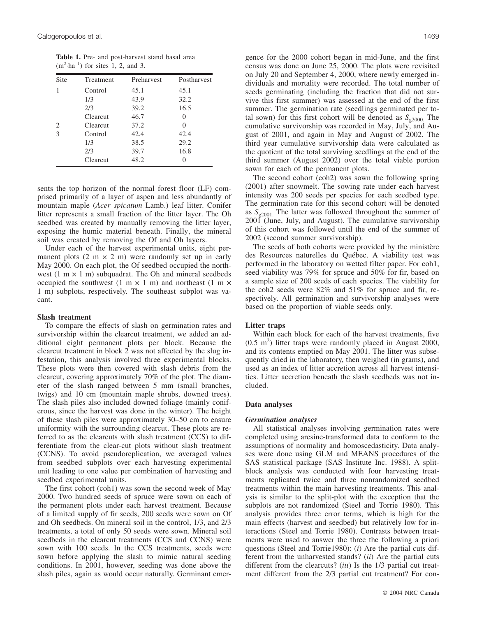**Table 1.** Pre- and post-harvest stand basal area  $(m^2 \cdot ha^{-1})$  for sites 1, 2, and 3.

| Site | Treatment | Preharvest | Postharvest       |
|------|-----------|------------|-------------------|
|      | Control   | 45.1       | 45.1              |
|      | 1/3       | 43.9       | 32.2              |
|      | 2/3       | 39.2       | 16.5              |
|      | Clearcut  | 46.7       | $\mathbf{\Omega}$ |
| 2    | Clearcut  | 37.2       | $\left( \right)$  |
| 3    | Control   | 42.4       | 42.4              |
|      | 1/3       | 38.5       | 29.2              |
|      | 2/3       | 39.7       | 16.8              |
|      | Clearcut  | 48.2       |                   |

sents the top horizon of the normal forest floor (LF) comprised primarily of a layer of aspen and less abundantly of mountain maple (*Acer spicatum* Lamb.) leaf litter. Conifer litter represents a small fraction of the litter layer. The Oh seedbed was created by manually removing the litter layer, exposing the humic material beneath. Finally, the mineral soil was created by removing the Of and Oh layers.

Under each of the harvest experimental units, eight permanent plots  $(2 \text{ m} \times 2 \text{ m})$  were randomly set up in early May 2000. On each plot, the Of seedbed occupied the northwest (1 m  $\times$  1 m) subquadrat. The Oh and mineral seedbeds occupied the southwest  $(1 \text{ m} \times 1 \text{ m})$  and northeast  $(1 \text{ m} \times$ 1 m) subplots, respectively. The southeast subplot was vacant.

## **Slash treatment**

To compare the effects of slash on germination rates and survivorship within the clearcut treatment, we added an additional eight permanent plots per block. Because the clearcut treatment in block 2 was not affected by the slug infestation, this analysis involved three experimental blocks. These plots were then covered with slash debris from the clearcut, covering approximately 70% of the plot. The diameter of the slash ranged between 5 mm (small branches, twigs) and 10 cm (mountain maple shrubs, downed trees). The slash piles also included downed foliage (mainly coniferous, since the harvest was done in the winter). The height of these slash piles were approximately 30–50 cm to ensure uniformity with the surrounding clearcut. These plots are referred to as the clearcuts with slash treatment (CCS) to differentiate from the clear-cut plots without slash treatment (CCNS). To avoid pseudoreplication, we averaged values from seedbed subplots over each harvesting experimental unit leading to one value per combination of harvesting and seedbed experimental units.

The first cohort (coh1) was sown the second week of May 2000. Two hundred seeds of spruce were sown on each of the permanent plots under each harvest treatment. Because of a limited supply of fir seeds, 200 seeds were sown on Of and Oh seedbeds. On mineral soil in the control, 1/3, and 2/3 treatments, a total of only 50 seeds were sown. Mineral soil seedbeds in the clearcut treatments (CCS and CCNS) were sown with 100 seeds. In the CCS treatments, seeds were sown before applying the slash to mimic natural seeding conditions. In 2001, however, seeding was done above the slash piles, again as would occur naturally. Germinant emergence for the 2000 cohort began in mid-June, and the first census was done on June 25, 2000. The plots were revisited on July 20 and September 4, 2000, where newly emerged individuals and mortality were recorded. The total number of seeds germinating (including the fraction that did not survive this first summer) was assessed at the end of the first summer. The germination rate (seedlings germinated per total sown) for this first cohort will be denoted as  $S_{\varphi2000}$ . The cumulative survivorship was recorded in May, July, and August of 2001, and again in May and August of 2002. The third year cumulative survivorship data were calculated as the quotient of the total surviving seedlings at the end of the third summer (August 2002) over the total viable portion sown for each of the permanent plots.

The second cohort (coh2) was sown the following spring (2001) after snowmelt. The sowing rate under each harvest intensity was 200 seeds per species for each seedbed type. The germination rate for this second cohort will be denoted as  $S_{\varphi2001}$ . The latter was followed throughout the summer of 2001 (June, July, and August). The cumulative survivorship of this cohort was followed until the end of the summer of 2002 (second summer survivorship).

The seeds of both cohorts were provided by the ministère des Resources naturelles du Québec. A viability test was performed in the laboratory on wetted filter paper. For coh1, seed viability was 79% for spruce and 50% for fir, based on a sample size of 200 seeds of each species. The viability for the coh2 seeds were 82% and 51% for spruce and fir, respectively. All germination and survivorship analyses were based on the proportion of viable seeds only.

#### **Litter traps**

Within each block for each of the harvest treatments, five  $(0.5 \text{ m}^2)$  litter traps were randomly placed in August 2000, and its contents emptied on May 2001. The litter was subsequently dried in the laboratory, then weighed (in grams), and used as an index of litter accretion across all harvest intensities. Litter accretion beneath the slash seedbeds was not included.

## **Data analyses**

#### *Germination analyses*

All statistical analyses involving germination rates were completed using arcsine-transformed data to conform to the assumptions of normality and homoscedasticity. Data analyses were done using GLM and MEANS procedures of the SAS statistical package (SAS Institute Inc. 1988). A splitblock analysis was conducted with four harvesting treatments replicated twice and three nonrandomized seedbed treatments within the main harvesting treatments. This analysis is similar to the split-plot with the exception that the subplots are not randomized (Steel and Torrie 1980). This analysis provides three error terms, which is high for the main effects (harvest and seedbed) but relatively low for interactions (Steel and Torrie 1980). Contrasts between treatments were used to answer the three the following a priori questions (Steel and Torrie1980): (*i*) Are the partial cuts different from the unharvested stands? (*ii*) Are the partial cuts different from the clearcuts? (*iii*) Is the 1/3 partial cut treatment different from the 2/3 partial cut treatment? For con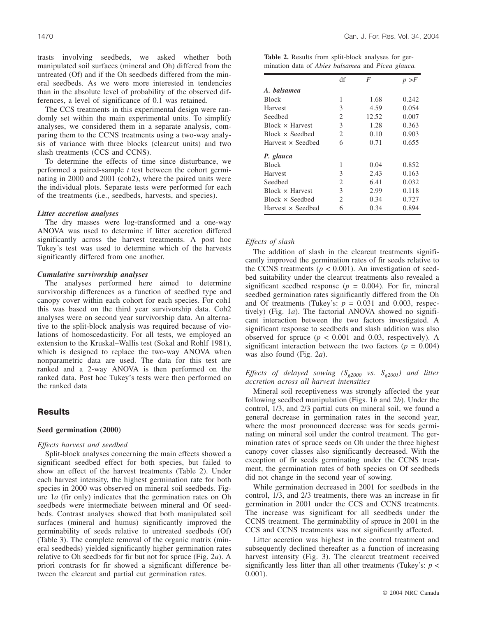trasts involving seedbeds, we asked whether both manipulated soil surfaces (mineral and Oh) differed from the untreated (Of) and if the Oh seedbeds differed from the mineral seedbeds. As we were more interested in tendencies than in the absolute level of probability of the observed differences, a level of significance of 0.1 was retained.

The CCS treatments in this experimental design were randomly set within the main experimental units. To simplify analyses, we considered them in a separate analysis, comparing them to the CCNS treatments using a two-way analysis of variance with three blocks (clearcut units) and two slash treatments (CCS and CCNS).

To determine the effects of time since disturbance, we performed a paired-sample *t* test between the cohort germinating in 2000 and 2001 (coh2), where the paired units were the individual plots. Separate tests were performed for each of the treatments (i.e., seedbeds, harvests, and species).

# *Litter accretion analyses*

The dry masses were log-transformed and a one-way ANOVA was used to determine if litter accretion differed significantly across the harvest treatments. A post hoc Tukey's test was used to determine which of the harvests significantly differed from one another.

#### *Cumulative survivorship analyses*

The analyses performed here aimed to determine survivorship differences as a function of seedbed type and canopy cover within each cohort for each species. For coh1 this was based on the third year survivorship data. Coh2 analyses were on second year survivorship data. An alternative to the split-block analysis was required because of violations of homoscedasticity. For all tests, we employed an extension to the Kruskal–Wallis test (Sokal and Rohlf 1981), which is designed to replace the two-way ANOVA when nonparametric data are used. The data for this test are ranked and a 2-way ANOVA is then performed on the ranked data. Post hoc Tukey's tests were then performed on the ranked data

# **Results**

# **Seed germination (2000)**

## *Effects harvest and seedbed*

Split-block analyses concerning the main effects showed a significant seedbed effect for both species, but failed to show an effect of the harvest treatments (Table 2). Under each harvest intensity, the highest germination rate for both species in 2000 was observed on mineral soil seedbeds. Figure 1*a* (fir only) indicates that the germination rates on Oh seedbeds were intermediate between mineral and Of seedbeds. Contrast analyses showed that both manipulated soil surfaces (mineral and humus) significantly improved the germinability of seeds relative to untreated seedbeds (Of) (Table 3). The complete removal of the organic matrix (mineral seedbeds) yielded significantly higher germination rates relative to Oh seedbeds for fir but not for spruce (Fig. 2*a*). A priori contrasts for fir showed a significant difference between the clearcut and partial cut germination rates.

**Table 2.** Results from split-block analyses for germination data of *Abies balsamea* and *Picea glauca.*

|                        | df                          | F     | p > F |
|------------------------|-----------------------------|-------|-------|
| A. balsamea            |                             |       |       |
| <b>Block</b>           | 1                           | 1.68  | 0.242 |
| Harvest                | 3                           | 4.59  | 0.054 |
| Seedbed                | 2                           | 12.52 | 0.007 |
| Block x Harvest        | 3                           | 1.28  | 0.363 |
| $Block \times Seedbed$ | $\mathcal{D}_{\mathcal{L}}$ | 0.10  | 0.903 |
| Harvest x Seedbed      | 6                           | 0.71  | 0.655 |
| P. glauca              |                             |       |       |
| <b>Block</b>           | 1                           | 0.04  | 0.852 |
| Harvest                | 3                           | 2.43  | 0.163 |
| Seedbed                | 2                           | 6.41  | 0.032 |
| $Block \times Harvest$ | 3                           | 2.99  | 0.118 |
| $Block \times Seedbed$ | $\mathcal{D}_{\mathcal{L}}$ | 0.34  | 0.727 |
| Harvest x Seedbed      | 6                           | 0.34  | 0.894 |

# *Effects of slash*

The addition of slash in the clearcut treatments significantly improved the germination rates of fir seeds relative to the CCNS treatments ( $p < 0.001$ ). An investigation of seedbed suitability under the clearcut treatments also revealed a significant seedbed response ( $p = 0.004$ ). For fir, mineral seedbed germination rates significantly differed from the Oh and Of treatments (Tukey's:  $p = 0.031$  and 0.003, respectively) (Fig. 1*a*). The factorial ANOVA showed no significant interaction between the two factors investigated. A significant response to seedbeds and slash addition was also observed for spruce  $(p < 0.001$  and 0.03, respectively). A significant interaction between the two factors ( $p = 0.004$ ) was also found (Fig. 2*a*).

# *Effects of delayed sowing (Sg2000 vs. Sg2001) and litter accretion across all harvest intensities*

Mineral soil receptiveness was strongly affected the year following seedbed manipulation (Figs. 1*b* and 2*b*). Under the control, 1/3, and 2/3 partial cuts on mineral soil, we found a general decrease in germination rates in the second year, where the most pronounced decrease was for seeds germinating on mineral soil under the control treatment. The germination rates of spruce seeds on Oh under the three highest canopy cover classes also significantly decreased. With the exception of fir seeds germinating under the CCNS treatment, the germination rates of both species on Of seedbeds did not change in the second year of sowing.

While germination decreased in 2001 for seedbeds in the control, 1/3, and 2/3 treatments, there was an increase in fir germination in 2001 under the CCS and CCNS treatments. The increase was significant for all seedbeds under the CCNS treatment. The germinability of spruce in 2001 in the CCS and CCNS treatments was not significantly affected.

Litter accretion was highest in the control treatment and subsequently declined thereafter as a function of increasing harvest intensity (Fig. 3). The clearcut treatment received significantly less litter than all other treatments (Tukey's:  $p <$ 0.001).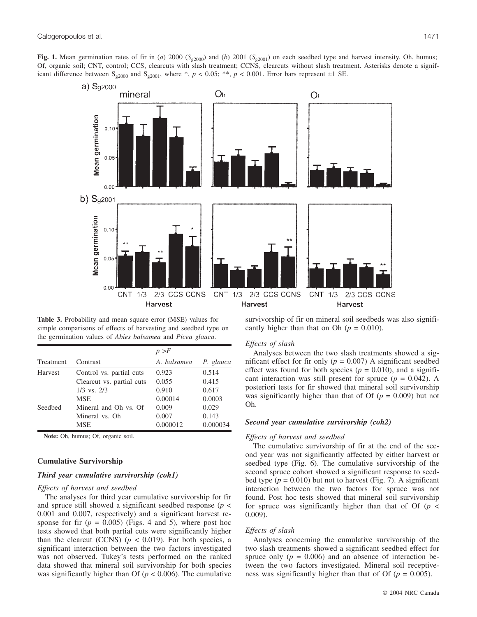**Fig. 1.** Mean germination rates of fir in (*a*) 2000 ( $S_{g2000}$ ) and (*b*) 2001 ( $S_{g2001}$ ) on each seedbed type and harvest intensity. Oh, humus; Of, organic soil; CNT, control; CCS, clearcuts with slash treatment; CCNS, clearcuts without slash treatment. Asterisks denote a significant difference between S<sub>g2000</sub> and S<sub>g2001</sub>, where \*,  $p < 0.05$ ; \*\*,  $p < 0.001$ . Error bars represent  $\pm 1$  SE.



**Table 3.** Probability and mean square error (MSE) values for simple comparisons of effects of harvesting and seedbed type on the germination values of *Abies balsamea* and *Picea glauca*.

|           |                           | p > F       |           |  |
|-----------|---------------------------|-------------|-----------|--|
| Treatment | Contrast                  | A. balsamea | P. glauca |  |
| Harvest   | Control vs. partial cuts  | 0.923       | 0.514     |  |
|           | Clearcut vs. partial cuts | 0.055       | 0.415     |  |
|           | $1/3$ vs. $2/3$           | 0.910       | 0.617     |  |
|           | <b>MSE</b>                | 0.00014     | 0.0003    |  |
| Seedbed   | Mineral and Oh vs. Of     | 0.009       | 0.029     |  |
|           | Mineral vs. Oh            | 0.007       | 0.143     |  |
|           | MSE                       | 0.000012    | 0.000034  |  |

**Note:** Oh, humus; Of, organic soil.

# **Cumulative Survivorship**

# *Third year cumulative survivorship (coh1)*

#### *Effects of harvest and seedbed*

The analyses for third year cumulative survivorship for fir and spruce still showed a significant seedbed response (*p* < 0.001 and 0.007, respectively) and a significant harvest response for fir  $(p = 0.005)$  (Figs. 4 and 5), where post hoc tests showed that both partial cuts were significantly higher than the clearcut (CCNS) ( $p < 0.019$ ). For both species, a significant interaction between the two factors investigated was not observed. Tukey's tests performed on the ranked data showed that mineral soil survivorship for both species was significantly higher than Of ( $p < 0.006$ ). The cumulative survivorship of fir on mineral soil seedbeds was also significantly higher than that on Oh ( $p = 0.010$ ).

#### *Effects of slash*

Analyses between the two slash treatments showed a significant effect for fir only  $(p = 0.007)$  A significant seedbed effect was found for both species ( $p = 0.010$ ), and a significant interaction was still present for spruce  $(p = 0.042)$ . A posteriori tests for fir showed that mineral soil survivorship was significantly higher than that of Of  $(p = 0.009)$  but not Oh.

## *Second year cumulative survivorship (coh2)*

#### *Effects of harvest and seedbed*

The cumulative survivorship of fir at the end of the second year was not significantly affected by either harvest or seedbed type (Fig. 6). The cumulative survivorship of the second spruce cohort showed a significant response to seedbed type  $(p = 0.010)$  but not to harvest (Fig. 7). A significant interaction between the two factors for spruce was not found. Post hoc tests showed that mineral soil survivorship for spruce was significantly higher than that of Of  $(p \lt p)$ 0.009).

## *Effects of slash*

Analyses concerning the cumulative survivorship of the two slash treatments showed a significant seedbed effect for spruce only  $(p = 0.006)$  and an absence of interaction between the two factors investigated. Mineral soil receptiveness was significantly higher than that of Of  $(p = 0.005)$ .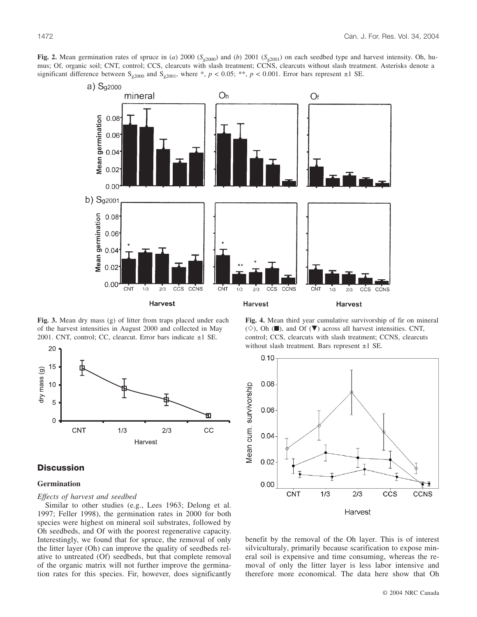**Fig. 2.** Mean germination rates of spruce in (*a*) 2000 ( $S_{g2000}$ ) and (*b*) 2001 ( $S_{g2001}$ ) on each seedbed type and harvest intensity. Oh, humus; Of, organic soil; CNT, control; CCS, clearcuts with slash treatment; CCNS, clearcuts without slash treatment. Asterisks denote a significant difference between  $S_{g2000}$  and  $S_{g2001}$ , where \*,  $p < 0.05$ ; \*\*,  $p < 0.001$ . Error bars represent  $\pm 1$  SE.



**Fig. 3.** Mean dry mass (g) of litter from traps placed under each of the harvest intensities in August 2000 and collected in May 2001. CNT, control; CC, clearcut. Error bars indicate ±1 SE.



# **Discussion**

# **Germination**

# *Effects of harvest and seedbed*

Similar to other studies (e.g., Lees 1963; Delong et al. 1997; Feller 1998), the germination rates in 2000 for both species were highest on mineral soil substrates, followed by Oh seedbeds, and Of with the poorest regenerative capacity. Interestingly, we found that for spruce, the removal of only the litter layer (Oh) can improve the quality of seedbeds relative to untreated (Of) seedbeds, but that complete removal of the organic matrix will not further improve the germination rates for this species. Fir, however, does significantly

**Fig. 4.** Mean third year cumulative survivorship of fir on mineral  $(\diamondsuit)$ , Oh ( $\blacksquare$ ), and Of ( $\nabla$ ) across all harvest intensities. CNT, control; CCS, clearcuts with slash treatment; CCNS, clearcuts without slash treatment. Bars represent ±1 SE.



benefit by the removal of the Oh layer. This is of interest silviculturaly, primarily because scarification to expose mineral soil is expensive and time consuming, whereas the removal of only the litter layer is less labor intensive and therefore more economical. The data here show that Oh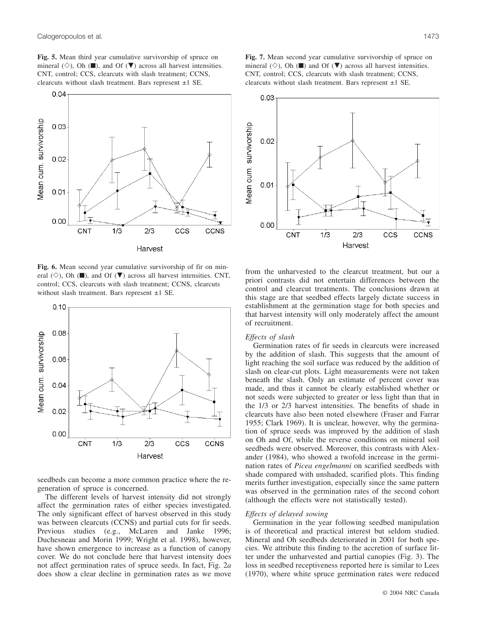**Fig. 5.** Mean third year cumulative survivorship of spruce on mineral ( $\diamond$ ), Oh ( $\blacksquare$ ), and Of ( $\nabla$ ) across all harvest intensities. CNT, control; CCS, clearcuts with slash treatment; CCNS, clearcuts without slash treatment. Bars represent ±1 SE.



**Fig. 6.** Mean second year cumulative survivorship of fir on mineral  $(\diamond)$ , Oh ( $\blacksquare$ ), and Of ( $\nabla$ ) across all harvest intensities. CNT, control; CCS, clearcuts with slash treatment; CCNS, clearcuts without slash treatment. Bars represent  $\pm 1$  SE.



seedbeds can become a more common practice where the regeneration of spruce is concerned.

The different levels of harvest intensity did not strongly affect the germination rates of either species investigated. The only significant effect of harvest observed in this study was between clearcuts (CCNS) and partial cuts for fir seeds. Previous studies (e.g., McLaren and Janke 1996; Duchesneau and Morin 1999; Wright et al. 1998), however, have shown emergence to increase as a function of canopy cover. We do not conclude here that harvest intensity does not affect germination rates of spruce seeds. In fact, Fig. 2*a* does show a clear decline in germination rates as we move

**Fig. 7.** Mean second year cumulative survivorship of spruce on mineral  $(\diamond)$ , Oh ( $\blacksquare$ ) and Of ( $\nabla$ ) across all harvest intensities. CNT, control; CCS, clearcuts with slash treatment; CCNS, clearcuts without slash treatment. Bars represent ±1 SE.



from the unharvested to the clearcut treatment, but our a priori contrasts did not entertain differences between the control and clearcut treatments. The conclusions drawn at this stage are that seedbed effects largely dictate success in establishment at the germination stage for both species and that harvest intensity will only moderately affect the amount of recruitment.

# *Effects of slash*

Germination rates of fir seeds in clearcuts were increased by the addition of slash. This suggests that the amount of light reaching the soil surface was reduced by the addition of slash on clear-cut plots. Light measurements were not taken beneath the slash. Only an estimate of percent cover was made, and thus it cannot be clearly established whether or not seeds were subjected to greater or less light than that in the 1/3 or 2/3 harvest intensities. The benefits of shade in clearcuts have also been noted elsewhere (Fraser and Farrar 1955; Clark 1969). It is unclear, however, why the germination of spruce seeds was improved by the addition of slash on Oh and Of, while the reverse conditions on mineral soil seedbeds were observed. Moreover, this contrasts with Alexander (1984), who showed a twofold increase in the germination rates of *Picea engelmanni* on scarified seedbeds with shade compared with unshaded, scarified plots. This finding merits further investigation, especially since the same pattern was observed in the germination rates of the second cohort (although the effects were not statistically tested).

# *Effects of delayed sowing*

Germination in the year following seedbed manipulation is of theoretical and practical interest but seldom studied. Mineral and Oh seedbeds deteriorated in 2001 for both species. We attribute this finding to the accretion of surface litter under the unharvested and partial canopies (Fig. 3). The loss in seedbed receptiveness reported here is similar to Lees (1970), where white spruce germination rates were reduced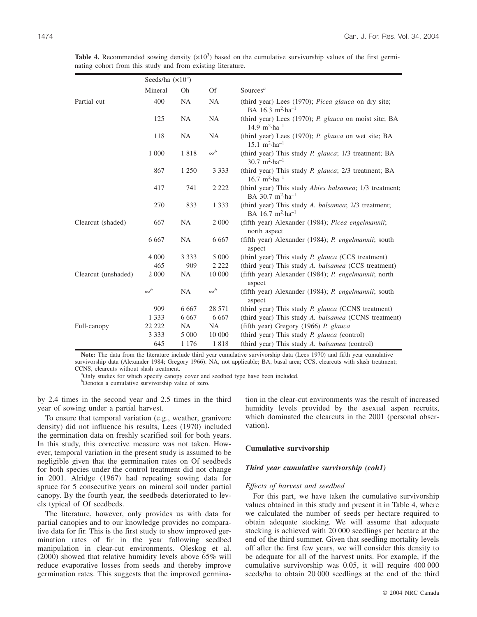|                     | Seeds/ha $(x10^3)$ |           |            |                                                                                                 |
|---------------------|--------------------|-----------|------------|-------------------------------------------------------------------------------------------------|
|                     | Mineral            | Oh        | <b>Of</b>  | Sources $a$                                                                                     |
| Partial cut         | 400                | <b>NA</b> | <b>NA</b>  | (third year) Lees (1970); Picea glauca on dry site;<br>BA 16.3 $m^2$ -ha <sup>-1</sup>          |
|                     | 125                | <b>NA</b> | <b>NA</b>  | (third year) Lees (1970); P. glauca on moist site; BA<br>14.9 $m^2$ -ha <sup>-1</sup>           |
|                     | 118                | <b>NA</b> | <b>NA</b>  | (third year) Lees (1970); P. glauca on wet site; BA<br>$15.1 \text{ m}^2 \cdot \text{ha}^{-1}$  |
|                     | 1 000              | 1818      | $\infty^b$ | (third year) This study P. glauca; 1/3 treatment; BA<br>$30.7 \text{ m}^2 \cdot \text{ha}^{-1}$ |
|                     | 867                | 1 2 5 0   | 3 3 3 3    | (third year) This study P. glauca; 2/3 treatment; BA<br>$16.7 \text{ m}^2 \cdot \text{ha}^{-1}$ |
|                     | 417                | 741       | 2 2 2 2    | (third year) This study Abies balsamea; 1/3 treatment;<br>BA 30.7 $m^2$ -ha <sup>-1</sup>       |
|                     | 270                | 833       | 1 3 3 3    | (third year) This study A. balsamea; 2/3 treatment;<br>BA 16.7 $m^2$ -ha <sup>-1</sup>          |
| Clearcut (shaded)   | 667                | <b>NA</b> | 2 0 0 0    | (fifth year) Alexander (1984); <i>Picea engelmannii</i> ;<br>north aspect                       |
|                     | 6 6 6 7            | <b>NA</b> | 6 6 6 7    | (fifth year) Alexander (1984); P. engelmannii; south<br>aspect                                  |
|                     | 4 0 0 0            | 3 3 3 3   | 5 0 0 0    | (third year) This study <i>P. glauca</i> (CCS treatment)                                        |
|                     | 465                | 909       | 2 2 2 2    | (third year) This study A. balsamea (CCS treatment)                                             |
| Clearcut (unshaded) | 2 0 0 0            | NA.       | 10 000     | (fifth year) Alexander (1984); P. engelmannii; north<br>aspect                                  |
|                     | $\infty^b$         | <b>NA</b> | $\infty^b$ | (fifth year) Alexander (1984); P. engelmannii; south<br>aspect                                  |
|                     | 909                | 6 6 6 7   | 28 571     | (third year) This study P. glauca (CCNS treatment)                                              |
|                     | 1 3 3 3            | 6 6 6 7   | 6 6 6 7    | (third year) This study A. balsamea (CCNS treatment)                                            |
| Full-canopy         | 22 222             | NA.       | <b>NA</b>  | (fifth year) Gregory (1966) P. glauca                                                           |
|                     | 3 3 3 3            | 5 000     | 10 000     | (third year) This study P. glauca (control)                                                     |
|                     | 645                | 1 1 7 6   | 1818       | (third year) This study A. balsamea (control)                                                   |

**Table 4.** Recommended sowing density  $(x10^3)$  based on the cumulative survivorship values of the first germinating cohort from this study and from existing literature.

**Note:** The data from the literature include third year cumulative survivorship data (Lees 1970) and fifth year cumulative survivorship data (Alexander 1984; Gregory 1966). NA, not applicable; BA, basal area; CCS, clearcuts with slash treatment; CCNS, clearcuts without slash treatment. *<sup>a</sup>*

<sup>a</sup>Only studies for which specify canopy cover and seedbed type have been included.

*b* Denotes a cumulative survivorship value of zero.

by 2.4 times in the second year and 2.5 times in the third year of sowing under a partial harvest.

To ensure that temporal variation (e.g., weather, granivore density) did not influence his results, Lees (1970) included the germination data on freshly scarified soil for both years. In this study, this corrective measure was not taken. However, temporal variation in the present study is assumed to be negligible given that the germination rates on Of seedbeds for both species under the control treatment did not change in 2001. Alridge (1967) had repeating sowing data for spruce for 5 consecutive years on mineral soil under partial canopy. By the fourth year, the seedbeds deteriorated to levels typical of Of seedbeds.

The literature, however, only provides us with data for partial canopies and to our knowledge provides no comparative data for fir. This is the first study to show improved germination rates of fir in the year following seedbed manipulation in clear-cut environments. Oleskog et al. (2000) showed that relative humidity levels above 65% will reduce evaporative losses from seeds and thereby improve germination rates. This suggests that the improved germination in the clear-cut environments was the result of increased humidity levels provided by the asexual aspen recruits, which dominated the clearcuts in the 2001 (personal observation).

# **Cumulative survivorship**

#### *Third year cumulative survivorship (coh1)*

## *Effects of harvest and seedbed*

For this part, we have taken the cumulative survivorship values obtained in this study and present it in Table 4, where we calculated the number of seeds per hectare required to obtain adequate stocking. We will assume that adequate stocking is achieved with 20 000 seedlings per hectare at the end of the third summer. Given that seedling mortality levels off after the first few years, we will consider this density to be adequate for all of the harvest units. For example, if the cumulative survivorship was 0.05, it will require 400 000 seeds/ha to obtain 20 000 seedlings at the end of the third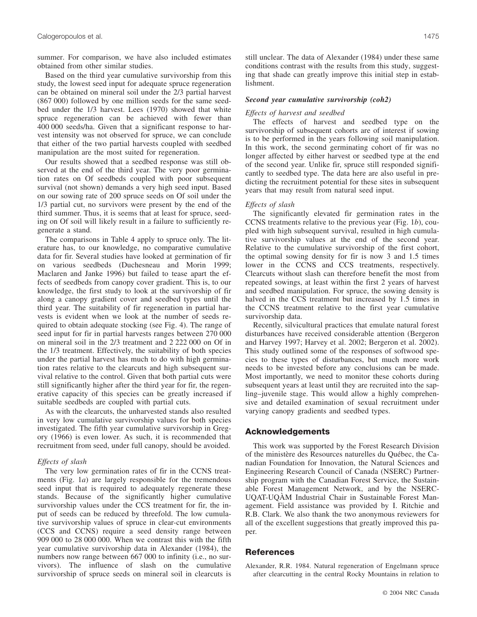summer. For comparison, we have also included estimates obtained from other similar studies.

Based on the third year cumulative survivorship from this study, the lowest seed input for adequate spruce regeneration can be obtained on mineral soil under the 2/3 partial harvest (867 000) followed by one million seeds for the same seedbed under the 1/3 harvest. Lees (1970) showed that white spruce regeneration can be achieved with fewer than 400 000 seeds/ha. Given that a significant response to harvest intensity was not observed for spruce, we can conclude that either of the two partial harvests coupled with seedbed manipulation are the most suited for regeneration.

Our results showed that a seedbed response was still observed at the end of the third year. The very poor germination rates on Of seedbeds coupled with poor subsequent survival (not shown) demands a very high seed input. Based on our sowing rate of 200 spruce seeds on Of soil under the 1/3 partial cut, no survivors were present by the end of the third summer. Thus, it is seems that at least for spruce, seeding on Of soil will likely result in a failure to sufficiently regenerate a stand.

The comparisons in Table 4 apply to spruce only. The literature has, to our knowledge, no comparative cumulative data for fir. Several studies have looked at germination of fir on various seedbeds (Duchesneau and Morin 1999; Maclaren and Janke 1996) but failed to tease apart the effects of seedbeds from canopy cover gradient. This is, to our knowledge, the first study to look at the survivorship of fir along a canopy gradient cover and seedbed types until the third year. The suitability of fir regeneration in partial harvests is evident when we look at the number of seeds required to obtain adequate stocking (see Fig. 4). The range of seed input for fir in partial harvests ranges between 270 000 on mineral soil in the 2/3 treatment and 2 222 000 on Of in the 1/3 treatment. Effectively, the suitability of both species under the partial harvest has much to do with high germination rates relative to the clearcuts and high subsequent survival relative to the control. Given that both partial cuts were still significantly higher after the third year for fir, the regenerative capacity of this species can be greatly increased if suitable seedbeds are coupled with partial cuts.

As with the clearcuts, the unharvested stands also resulted in very low cumulative survivorship values for both species investigated. The fifth year cumulative survivorship in Gregory (1966) is even lower. As such, it is recommended that recruitment from seed, under full canopy, should be avoided.

# *Effects of slash*

The very low germination rates of fir in the CCNS treatments (Fig. 1*a*) are largely responsible for the tremendous seed input that is required to adequately regenerate these stands. Because of the significantly higher cumulative survivorship values under the CCS treatment for fir, the input of seeds can be reduced by threefold. The low cumulative survivorship values of spruce in clear-cut environments (CCS and CCNS) require a seed density range between 909 000 to 28 000 000. When we contrast this with the fifth year cumulative survivorship data in Alexander (1984), the numbers now range between 667 000 to infinity (i.e., no survivors). The influence of slash on the cumulative survivorship of spruce seeds on mineral soil in clearcuts is still unclear. The data of Alexander (1984) under these same conditions contrast with the results from this study, suggesting that shade can greatly improve this initial step in establishment.

## *Second year cumulative survivorship (coh2)*

## *Effects of harvest and seedbed*

The effects of harvest and seedbed type on the survivorship of subsequent cohorts are of interest if sowing is to be performed in the years following soil manipulation. In this work, the second germinating cohort of fir was no longer affected by either harvest or seedbed type at the end of the second year. Unlike fir, spruce still responded significantly to seedbed type. The data here are also useful in predicting the recruitment potential for these sites in subsequent years that may result from natural seed input.

#### *Effects of slash*

The significantly elevated fir germination rates in the CCNS treatments relative to the previous year (Fig. 1*b*), coupled with high subsequent survival, resulted in high cumulative survivorship values at the end of the second year. Relative to the cumulative survivorship of the first cohort, the optimal sowing density for fir is now 3 and 1.5 times lower in the CCNS and CCS treatments, respectively. Clearcuts without slash can therefore benefit the most from repeated sowings, at least within the first 2 years of harvest and seedbed manipulation. For spruce, the sowing density is halved in the CCS treatment but increased by 1.5 times in the CCNS treatment relative to the first year cumulative survivorship data.

Recently, silvicultural practices that emulate natural forest disturbances have received considerable attention (Bergeron and Harvey 1997; Harvey et al. 2002; Bergeron et al. 2002). This study outlined some of the responses of softwood species to these types of disturbances, but much more work needs to be invested before any conclusions can be made. Most importantly, we need to monitor these cohorts during subsequent years at least until they are recruited into the sapling–juvenile stage. This would allow a highly comprehensive and detailed examination of sexual recruitment under varying canopy gradients and seedbed types.

# **Acknowledgements**

This work was supported by the Forest Research Division of the ministère des Resources naturelles du Québec, the Canadian Foundation for Innovation, the Natural Sciences and Engineering Research Council of Canada (NSERC) Partnership program with the Canadian Forest Service, the Sustainable Forest Management Network, and by the NSERC-UQAT-UQÀM Industrial Chair in Sustainable Forest Management. Field assistance was provided by I. Ritchie and R.B. Clark. We also thank the two anonymous reviewers for all of the excellent suggestions that greatly improved this paper.

# **References**

Alexander, R.R. 1984. Natural regeneration of Engelmann spruce after clearcutting in the central Rocky Mountains in relation to